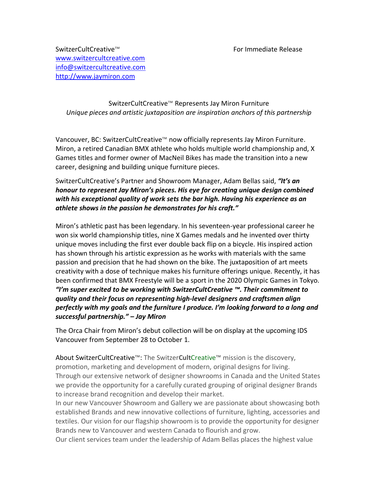SwitzerCultCreative™ For Immediate Release [www.switzercultcreative.com](http://www.switzercultcreative.com/) [info@switzercultcreative.com](mailto:info@switzercultcreative.com) [http://www.jaymiron.com](http://www.jaymiron.com/)

## SwitzerCultCreative™ Represents Jay Miron Furniture *Unique pieces and artistic juxtaposition are inspiration anchors of this partnership*

Vancouver, BC: SwitzerCultCreative™ now officially represents Jay Miron Furniture. Miron, a retired Canadian BMX athlete who holds multiple world championship and, X Games titles and former owner of MacNeil Bikes has made the transition into a new career, designing and building unique furniture pieces.

## SwitzerCultCreative's Partner and Showroom Manager, Adam Bellas said, *"It's an honour to represent Jay Miron's pieces. His eye for creating unique design combined with his exceptional quality of work sets the bar high. Having his experience as an athlete shows in the passion he demonstrates for his craft."*

Miron's athletic past has been legendary. In his seventeen-year professional career he won six world championship titles, nine X Games medals and he invented over thirty unique moves including the first ever double back flip on a bicycle. His inspired action has shown through his artistic expression as he works with materials with the same passion and precision that he had shown on the bike. The juxtaposition of art meets creativity with a dose of technique makes his furniture offerings unique. Recently, it has been confirmed that BMX Freestyle will be a sport in the 2020 Olympic Games in Tokyo. *"I'm super excited to be working with SwitzerCultCreative ™. Their commitment to quality and their focus on representing high-level designers and craftsmen align perfectly with my goals and the furniture I produce. I'm looking forward to a long and successful partnership." – Jay Miron*

The Orca Chair from Miron's debut collection will be on display at the upcoming IDS Vancouver from September 28 to October 1.

About SwitzerCultCreative™: The Switzer**Cult**Creative™ mission is the discovery, promotion, marketing and development of modern, original designs for living. Through our extensive network of designer showrooms in Canada and the United States we provide the opportunity for a carefully curated grouping of original designer Brands to increase brand recognition and develop their market.

In our new Vancouver Showroom and Gallery we are passionate about showcasing both established Brands and new innovative collections of furniture, lighting, accessories and textiles. Our vision for our flagship showroom is to provide the opportunity for designer Brands new to Vancouver and western Canada to flourish and grow.

Our client services team under the leadership of Adam Bellas places the highest value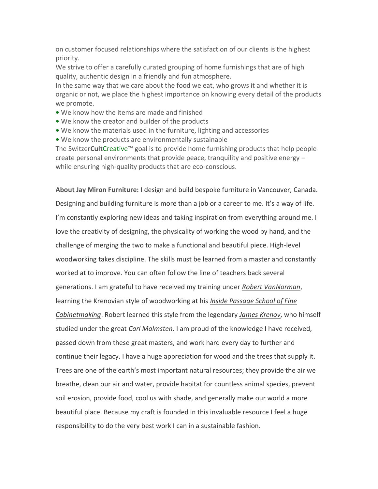on customer focused relationships where the satisfaction of our clients is the highest priority.

We strive to offer a carefully curated grouping of home furnishings that are of high quality, authentic design in a friendly and fun atmosphere.

In the same way that we care about the food we eat, who grows it and whether it is organic or not, we place the highest importance on knowing every detail of the products we promote.

- **•** We know how the items are made and finished
- **•** We know the creator and builder of the products
- **•** We know the materials used in the furniture, lighting and accessories
- **•** We know the products are environmentally sustainable

The Switzer**Cult**Creative™ goal is to provide home furnishing products that help people create personal environments that provide peace, tranquility and positive energy – while ensuring high-quality products that are eco-conscious.

**About Jay Miron Furniture:** I design and build bespoke furniture in Vancouver, Canada. Designing and building furniture is more than a job or a career to me. It's a way of life. I'm constantly exploring new ideas and taking inspiration from everything around me. I love the creativity of designing, the physicality of working the wood by hand, and the challenge of merging the two to make a functional and beautiful piece. High-level woodworking takes discipline. The skills must be learned from a master and constantly worked at to improve. You can often follow the line of teachers back several generations. I am grateful to have received my training under *[Robert VanNorman](http://www.insidepassage.ca/robert-van-norman/)*, learning the Krenovian style of woodworking at his *[Inside Passage School of Fine](http://www.insidepassage.ca/)  [Cabinetmaking](http://www.insidepassage.ca/)*. Robert learned this style from the legendary *[James Krenov](https://en.wikipedia.org/wiki/James_Krenov)*, who himself studied under the great *[Carl Malmsten](https://en.wikipedia.org/wiki/Carl_Malmsten)*. I am proud of the knowledge I have received, passed down from these great masters, and work hard every day to further and continue their legacy. I have a huge appreciation for wood and the trees that supply it. Trees are one of the earth's most important natural resources; they provide the air we breathe, clean our air and water, provide habitat for countless animal species, prevent soil erosion, provide food, cool us with shade, and generally make our world a more beautiful place. Because my craft is founded in this invaluable resource I feel a huge responsibility to do the very best work I can in a sustainable fashion.